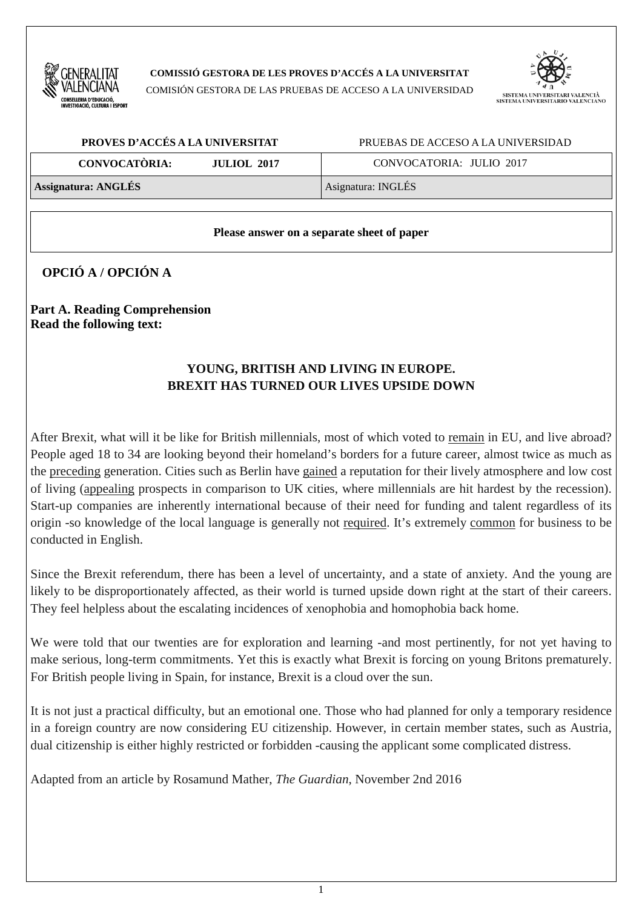

**COMISSIÓ GESTORA DE LES PROVES D'ACCÉS A LA UNIVERSITAT** 

COMISIÓN GESTORA DE LAS PRUEBAS DE ACCESO A LA UNIVERSIDAD



| PROVES D'ACCÉS A LA UNIVERSITAT            | PRUEBAS DE ACCESO A LA UNIVERSIDAD |  |  |
|--------------------------------------------|------------------------------------|--|--|
| <b>CONVOCATÒRIA:</b><br><b>JULIOL 2017</b> | CONVOCATORIA: JULIO 2017           |  |  |
| <b>Assignatura: ANGLÉS</b>                 | Asignatura: INGLÉS                 |  |  |

### **Please answer on a separate sheet of paper**

# **OPCIÓ A / OPCIÓN A**

**Part A. Reading Comprehension Read the following text:** 

## **YOUNG, BRITISH AND LIVING IN EUROPE. BREXIT HAS TURNED OUR LIVES UPSIDE DOWN**

After Brexit, what will it be like for British millennials, most of which voted to remain in EU, and live abroad? People aged 18 to 34 are looking beyond their homeland's borders for a future career, almost twice as much as the preceding generation. Cities such as Berlin have gained a reputation for their lively atmosphere and low cost of living (appealing prospects in comparison to UK cities, where millennials are hit hardest by the recession). Start-up companies are inherently international because of their need for funding and talent regardless of its origin -so knowledge of the local language is generally not required. It's extremely common for business to be conducted in English.

Since the Brexit referendum, there has been a level of uncertainty, and a state of anxiety. And the young are likely to be disproportionately affected, as their world is turned upside down right at the start of their careers. They feel helpless about the escalating incidences of xenophobia and homophobia back home.

We were told that our twenties are for exploration and learning -and most pertinently, for not yet having to make serious, long-term commitments. Yet this is exactly what Brexit is forcing on young Britons prematurely. For British people living in Spain, for instance, Brexit is a cloud over the sun.

It is not just a practical difficulty, but an emotional one. Those who had planned for only a temporary residence in a foreign country are now considering EU citizenship. However, in certain member states, such as Austria, dual citizenship is either highly restricted or forbidden -causing the applicant some complicated distress.

Adapted from an article by Rosamund Mather, *The Guardian*, November 2nd 2016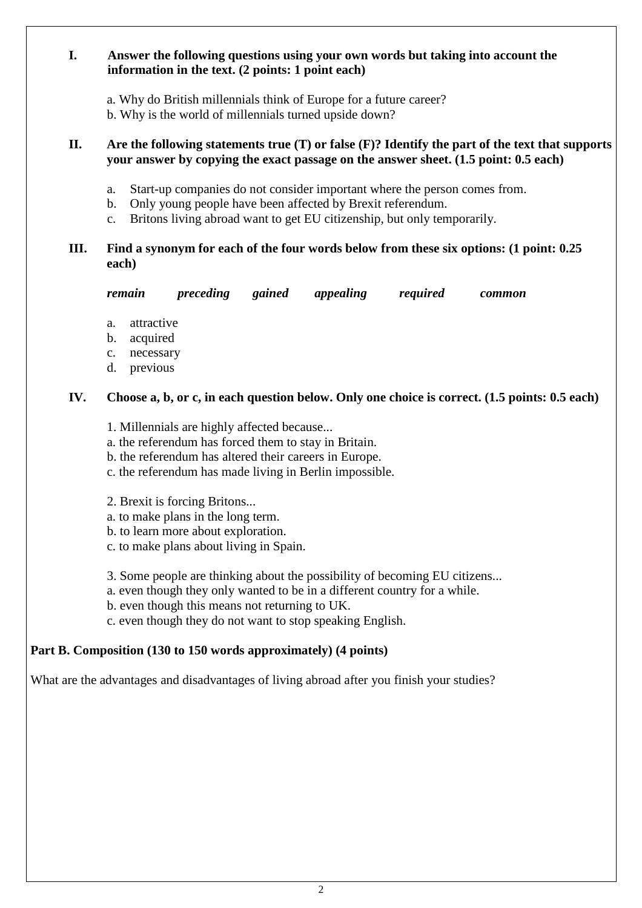### **I. Answer the following questions using your own words but taking into account the information in the text. (2 points: 1 point each)**

a. Why do British millennials think of Europe for a future career?

b. Why is the world of millennials turned upside down?

### **II. Are the following statements true (T) or false (F)? Identify the part of the text that supports your answer by copying the exact passage on the answer sheet. (1.5 point: 0.5 each)**

- a. Start-up companies do not consider important where the person comes from.
- b. Only young people have been affected by Brexit referendum.
- c. Britons living abroad want to get EU citizenship, but only temporarily.

## **III. Find a synonym for each of the four words below from these six options: (1 point: 0.25 each)**

| remaın | preceding | gained | appealing | required | common |
|--------|-----------|--------|-----------|----------|--------|
|        |           |        |           |          |        |

- a. attractive
- b. acquired
- c. necessary
- d. previous

## **IV. Choose a, b, or c, in each question below. Only one choice is correct. (1.5 points: 0.5 each)**

- 1. Millennials are highly affected because...
- a. the referendum has forced them to stay in Britain.
- b. the referendum has altered their careers in Europe.
- c. the referendum has made living in Berlin impossible.
- 2. Brexit is forcing Britons...
- a. to make plans in the long term.
- b. to learn more about exploration.
- c. to make plans about living in Spain.
- 3. Some people are thinking about the possibility of becoming EU citizens...
- a. even though they only wanted to be in a different country for a while.
- b. even though this means not returning to UK.
- c. even though they do not want to stop speaking English.

# **Part B. Composition (130 to 150 words approximately) (4 points)**

What are the advantages and disadvantages of living abroad after you finish your studies?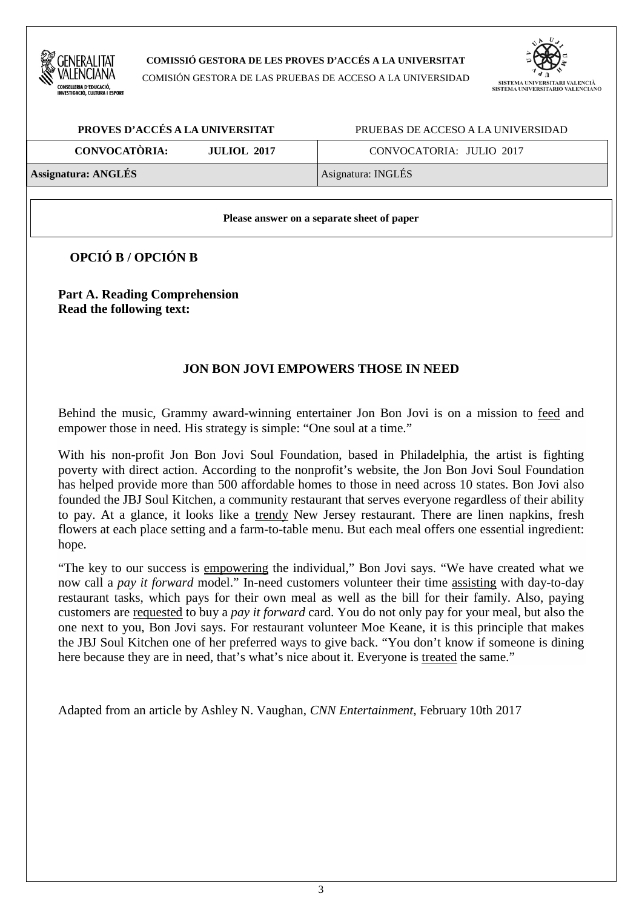

#### **COMISSIÓ GESTORA DE LES PROVES D'ACCÉS A LA UNIVERSITAT**

COMISIÓN GESTORA DE LAS PRUEBAS DE ACCESO A LA UNIVERSIDAD



| PROVES D'ACCÉS A LA UNIVERSITAT            | PRUEBAS DE ACCESO A LA UNIVERSIDAD |  |  |
|--------------------------------------------|------------------------------------|--|--|
| <b>CONVOCATÒRIA:</b><br><b>JULIOL 2017</b> | CONVOCATORIA: JULIO 2017           |  |  |
| <b>Assignatura: ANGLÉS</b>                 | Asignatura: INGLÉS                 |  |  |

#### **Please answer on a separate sheet of paper**

**OPCIÓ B / OPCIÓN B** 

**Part A. Reading Comprehension Read the following text:** 

### **JON BON JOVI EMPOWERS THOSE IN NEED**

Behind the music, Grammy award-winning entertainer Jon Bon Jovi is on a mission to feed and empower those in need. His strategy is simple: "One soul at a time."

With his non-profit Jon Bon Jovi Soul Foundation, based in Philadelphia, the artist is fighting poverty with direct action. According to the nonprofit's website, the Jon Bon Jovi Soul Foundation has helped provide more than 500 affordable homes to those in need across 10 states. Bon Jovi also founded the JBJ Soul Kitchen, a community restaurant that serves everyone regardless of their ability to pay. At a glance, it looks like a trendy New Jersey restaurant. There are linen napkins, fresh flowers at each place setting and a farm-to-table menu. But each meal offers one essential ingredient: hope.

"The key to our success is empowering the individual," Bon Jovi says. "We have created what we now call a *pay it forward* model." In-need customers volunteer their time assisting with day-to-day restaurant tasks, which pays for their own meal as well as the bill for their family. Also, paying customers are requested to buy a *pay it forward* card. You do not only pay for your meal, but also the one next to you, Bon Jovi says. For restaurant volunteer Moe Keane, it is this principle that makes the JBJ Soul Kitchen one of her preferred ways to give back. "You don't know if someone is dining here because they are in need, that's what's nice about it. Everyone is treated the same."

Adapted from an article by Ashley N. Vaughan, *CNN Entertainment*, February 10th 2017